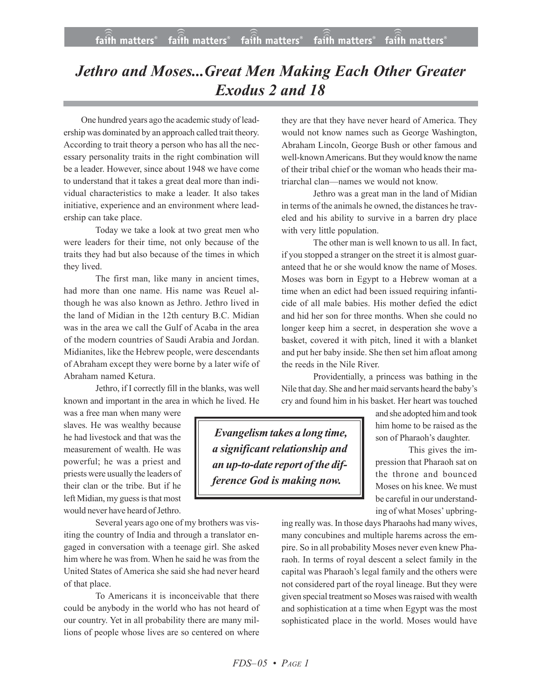## *Jethro and Moses...Great Men Making Each Other Greater Exodus 2 and 18*

One hundred years ago the academic study of leadership was dominated by an approach called trait theory. According to trait theory a person who has all the necessary personality traits in the right combination will be a leader. However, since about 1948 we have come to understand that it takes a great deal more than individual characteristics to make a leader. It also takes initiative, experience and an environment where leadership can take place.

Today we take a look at two great men who were leaders for their time, not only because of the traits they had but also because of the times in which they lived.

The first man, like many in ancient times, had more than one name. His name was Reuel although he was also known as Jethro. Jethro lived in the land of Midian in the 12th century B.C. Midian was in the area we call the Gulf of Acaba in the area of the modern countries of Saudi Arabia and Jordan. Midianites, like the Hebrew people, were descendants of Abraham except they were borne by a later wife of Abraham named Ketura.

Jethro, if I correctly fill in the blanks, was well known and important in the area in which he lived. He

was a free man when many were slaves. He was wealthy because he had livestock and that was the measurement of wealth. He was powerful; he was a priest and priests were usually the leaders of their clan or the tribe. But if he left Midian, my guess is that most would never have heard of Jethro.

Several years ago one of my brothers was visiting the country of India and through a translator engaged in conversation with a teenage girl. She asked him where he was from. When he said he was from the United States of America she said she had never heard of that place.

To Americans it is inconceivable that there could be anybody in the world who has not heard of our country. Yet in all probability there are many millions of people whose lives are so centered on where

they are that they have never heard of America. They would not know names such as George Washington, Abraham Lincoln, George Bush or other famous and well-known Americans. But they would know the name of their tribal chief or the woman who heads their matriarchal clan—names we would not know.

Jethro was a great man in the land of Midian in terms of the animals he owned, the distances he traveled and his ability to survive in a barren dry place with very little population.

The other man is well known to us all. In fact, if you stopped a stranger on the street it is almost guaranteed that he or she would know the name of Moses. Moses was born in Egypt to a Hebrew woman at a time when an edict had been issued requiring infanticide of all male babies. His mother defied the edict and hid her son for three months. When she could no longer keep him a secret, in desperation she wove a basket, covered it with pitch, lined it with a blanket and put her baby inside. She then set him afloat among the reeds in the Nile River.

Providentially, a princess was bathing in the Nile that day. She and her maid servants heard the baby's cry and found him in his basket. Her heart was touched

*Evangelism takes a long time, a significant relationship and an up-to-date report of the difference God is making now.*

and she adopted himand took him home to be raised as the son of Pharaoh's daughter.

This gives the impression that Pharaoh sat on the throne and bounced Moses on his knee. We must be careful in our understanding of what Moses' upbring-

ing really was. In those days Pharaohs had many wives, many concubines and multiple harems across the empire. So in all probability Moses never even knew Pharaoh. In terms of royal descent a select family in the capital was Pharaoh's legal family and the others were not considered part of the royal lineage. But they were given special treatment so Moses was raised with wealth and sophistication at a time when Egypt was the most sophisticated place in the world. Moses would have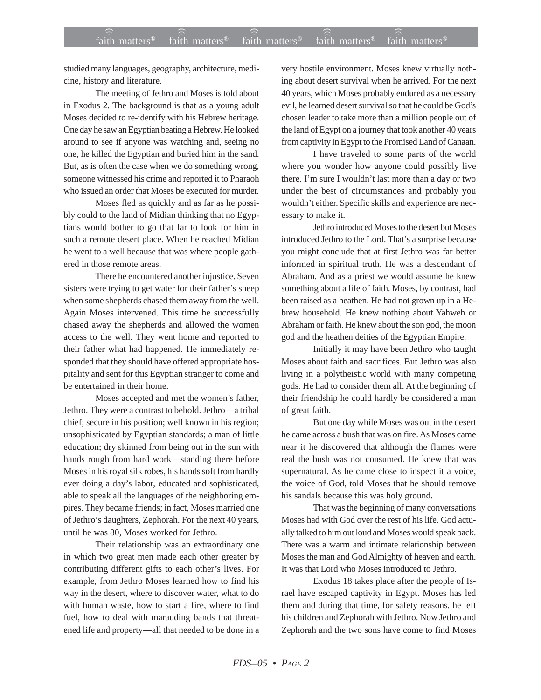studied many languages, geography, architecture, medicine, history and literature.

The meeting of Jethro and Moses is told about in Exodus 2. The background is that as a young adult Moses decided to re-identify with his Hebrew heritage. One day he saw an Egyptian beating a Hebrew. He looked around to see if anyone was watching and, seeing no one, he killed the Egyptian and buried him in the sand. But, as is often the case when we do something wrong, someone witnessed his crime and reported it to Pharaoh who issued an order that Moses be executed for murder.

Moses fled as quickly and as far as he possibly could to the land of Midian thinking that no Egyptians would bother to go that far to look for him in such a remote desert place. When he reached Midian he went to a well because that was where people gathered in those remote areas.

There he encountered another injustice. Seven sisters were trying to get water for their father's sheep when some shepherds chased them away from the well. Again Moses intervened. This time he successfully chased away the shepherds and allowed the women access to the well. They went home and reported to their father what had happened. He immediately responded that they should have offered appropriate hospitality and sent for this Egyptian stranger to come and be entertained in their home.

Moses accepted and met the women's father, Jethro. They were a contrast to behold. Jethro—a tribal chief; secure in his position; well known in his region; unsophisticated by Egyptian standards; a man of little education; dry skinned from being out in the sun with hands rough from hard work—standing there before Moses in his royal silk robes, his hands soft from hardly ever doing a day's labor, educated and sophisticated, able to speak all the languages of the neighboring empires. They became friends; in fact, Moses married one of Jethro's daughters, Zephorah. For the next 40 years, until he was 80, Moses worked for Jethro.

Their relationship was an extraordinary one in which two great men made each other greater by contributing different gifts to each other's lives. For example, from Jethro Moses learned how to find his way in the desert, where to discover water, what to do with human waste, how to start a fire, where to find fuel, how to deal with marauding bands that threatened life and property—all that needed to be done in a

very hostile environment. Moses knew virtually nothing about desert survival when he arrived. For the next 40 years, which Moses probably endured as a necessary evil, he learned desert survival so that he could be God's chosen leader to take more than a million people out of the land of Egypt on a journey that took another 40 years from captivity in Egypt to the Promised Land of Canaan.

I have traveled to some parts of the world where you wonder how anyone could possibly live there. I'm sure I wouldn't last more than a day or two under the best of circumstances and probably you wouldn't either. Specific skills and experience are necessary to make it.

Jethro introduced Moses to the desert but Moses introduced Jethro to the Lord. That's a surprise because you might conclude that at first Jethro was far better informed in spiritual truth. He was a descendant of Abraham. And as a priest we would assume he knew something about a life of faith. Moses, by contrast, had been raised as a heathen. He had not grown up in a Hebrew household. He knew nothing about Yahweh or Abraham or faith. He knew about the son god, the moon god and the heathen deities of the Egyptian Empire.

Initially it may have been Jethro who taught Moses about faith and sacrifices. But Jethro was also living in a polytheistic world with many competing gods. He had to consider them all. At the beginning of their friendship he could hardly be considered a man of great faith.

But one day while Moses was out in the desert he came across a bush that was on fire. As Moses came near it he discovered that although the flames were real the bush was not consumed. He knew that was supernatural. As he came close to inspect it a voice, the voice of God, told Moses that he should remove his sandals because this was holy ground.

That was the beginning of many conversations Moses had with God over the rest of his life. God actually talked to him out loud and Moses would speak back. There was a warm and intimate relationship between Moses the man and God Almighty of heaven and earth. It was that Lord who Moses introduced to Jethro.

Exodus 18 takes place after the people of Israel have escaped captivity in Egypt. Moses has led them and during that time, for safety reasons, he left his children and Zephorah with Jethro. Now Jethro and Zephorah and the two sons have come to find Moses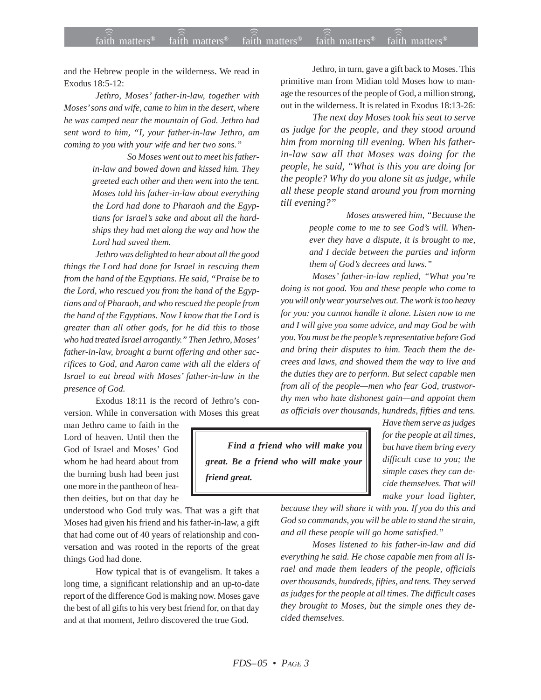and the Hebrew people in the wilderness. We read in Exodus 18:5-12:

*Jethro, Moses' father-in-law, together with Moses' sons and wife, came to him in the desert, where he was camped near the mountain of God. Jethro had sent word to him, "I, your father-in-law Jethro, am coming to you with your wife and her two sons."*

> *So Moses went out to meet his fatherin-law and bowed down and kissed him. They greeted each other and then went into the tent. Moses told his father-in-law about everything the Lord had done to Pharaoh and the Egyptians for Israel's sake and about all the hardships they had met along the way and how the Lord had saved them.*

*Jethro was delighted to hear about all the good things the Lord had done for Israel in rescuing them from the hand of the Egyptians. He said, "Praise be to the Lord, who rescued you from the hand of the Egyptians and of Pharaoh, and who rescued the people from the hand of the Egyptians. Now I know that the Lord is greater than all other gods, for he did this to those who had treated Israel arrogantly." Then Jethro, Moses' father-in-law, brought a burnt offering and other sacrifices to God, and Aaron came with all the elders of Israel to eat bread with Moses' father-in-law in the presence of God.*

Exodus 18:11 is the record of Jethro's conversion. While in conversation with Moses this great

man Jethro came to faith in the Lord of heaven. Until then the God of Israel and Moses' God whom he had heard about from the burning bush had been just one more in the pantheon of heathen deities, but on that day he

understood who God truly was. That was a gift that Moses had given his friend and his father-in-law, a gift that had come out of 40 years of relationship and conversation and was rooted in the reports of the great things God had done.

How typical that is of evangelism. It takes a long time, a significant relationship and an up-to-date report of the difference God is making now. Moses gave the best of all gifts to his very best friend for, on that day and at that moment, Jethro discovered the true God.

Jethro, in turn, gave a gift back to Moses. This primitive man from Midian told Moses how to manage the resources of the people of God, a million strong, out in the wilderness. It is related in Exodus 18:13-26:

*The next day Moses took his seat to serve as judge for the people, and they stood around him from morning till evening. When his fatherin-law saw all that Moses was doing for the people, he said, "What is this you are doing for the people? Why do you alone sit as judge, while all these people stand around you from morning till evening?"*

> *Moses answered him, "Because the people come to me to see God's will. Whenever they have a dispute, it is brought to me, and I decide between the parties and inform them of God's decrees and laws."*

*Moses' father-in-law replied, "What you're doing is not good. You and these people who come to you will only wear yourselves out. The work is too heavy for you: you cannot handle it alone. Listen now to me and I will give you some advice, and may God be with you. You must be the people's representative before God and bring their disputes to him. Teach them the decrees and laws, and showed them the way to live and the duties they are to perform. But select capable men from all of the people—men who fear God, trustworthy men who hate dishonest gain—and appoint them as officials over thousands, hundreds, fifties and tens.*

*Find a friend who will make you great. Be a friend who will make your friend great.*

*Have them serve as judges for the people at all times, but have them bring every difficult case to you; the simple cases they can decide themselves. That will make your load lighter,*

*because they will share it with you. If you do this and God so commands, you will be able to stand the strain, and all these people will go home satisfied."*

*Moses listened to his father-in-law and did everything he said. He chose capable men from all Israel and made them leaders of the people, officials over thousands, hundreds, fifties, and tens. They served as judges for the people at all times. The difficult cases they brought to Moses, but the simple ones they decided themselves.*